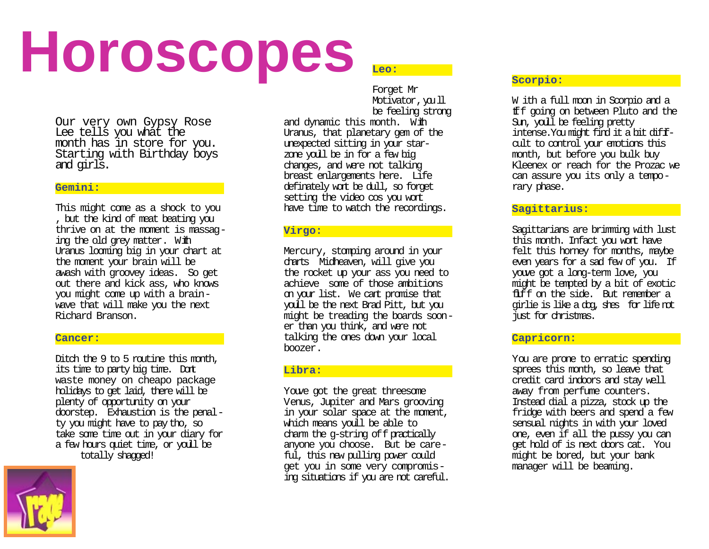# **Horoscopes**

Our very own Gypsy Rose Lee tells you what the month has in store for you. Starting with Birthday boys and girls.

## **Gemini:**

This might come as a shock to you , but the kind of meat beating you thrive on at the moment is massaging the old grey matter. With Uranus looming big in your chart at the moment your brain will be awash with groovey ideas. So get out there and kick ass, who knows you might come up with a brainwave that will make you the next Richard Branson.

#### **Cancer:**

Ditch the 9 to 5 routine this month, its time to party big time. Dont waste money on cheapo package holidays to get laid, there will be plenty of opportunity on your doorstep. Exhaustion is the penalty you might have to pay tho, so take some time out in your diary for a few hours quiet time, or you ll be totally shagged!



**Leo:**

Forget Mr Motivator, you ll be feeling strong

and dynamic this month. With Uranus, that planetary gem of the unexpected sitting in your starzone youll be in for a few big changes, and were not talking breast enlargements here. Life definately won t be dull, so forget setting the video cos you won t have time to watch the recordings.

## **Virgo:**

Mercury, stomping around in your charts Midheaven, will give you the rocket up your ass you need to achieve some of those ambitions on your list. We cant promise that youll be the next Brad Pitt, but you might be treading the boards sooner than you think, and were not talking the ones down your local boozer.

## **Libra:**

Youve got the great threesome Venus, Jupiter and Mars grooving in your solar space at the moment, which means you 11 be able to charm the g-string off practically anyone you choose. But be careful, this new pulling power could get you in some very compromising situations if you are not careful.

# **Scorpio:**

W ith a full moon in Scorpio and a tiff going on between Pluto and the Sun, youll be feeling pretty intense.You might find it a bit difficult to control your emotions this month, but before you bulk buy Kleenex or reach for the Prozac we can assure you its only a temporary phase.

## **Sagittarius:**

Sagittarians are brimming with lust this month. Infact you won t have felt this horney for months, maybe even years for a sad few of you. If youve got a long-term love, you might be tempted by a bit of exotic fluff on the side. But remember a girlie is like a dog, she s for life not just for christmas.

## **Capricorn:**

You are prone to erratic spending sprees this month, so leave that credit card indoors and stay well away from perfume counters. Instead dial a pizza, stock up the fridge with beers and spend a few sensual nights in with your loved one, even if all the pussy you can get hold of is next doors cat. You might be bored, but your bank manager will be beaming.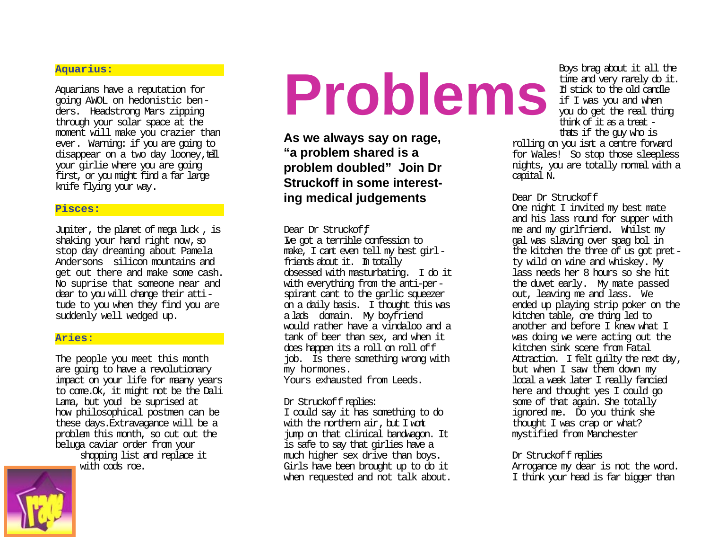#### **Aquarius:**

Aquarians have a reputation for going AWOL on hedonistic benders. Headstrong Mars zipping through your solar space at the moment will make you crazier than ever. Warning: if you are going to disappear on a two day looney, tell your girlie where you are going first, or you might find a far large knife flying your way.

#### **Pisces:**

Jupiter, the planet of mega luck , is shaking your hand right now, so stop day dreaming about Pamela Anderson s silicon mountains and get out there and make some cash. No suprise that someone near and dear to you will change their attitude to you when they find you are suddenly well wedged up.

#### **Aries:**

The people you meet this month are going to have a revolutionary impact on your life for maany years to come.Ok, it might not be the Dali Lama, but youd be suprised at how philosophical postmen can be these days.Extravagance will be a problem this month, so cut out the beluga caviar order from your

> shopping list and replace it with cods roe.



# **Problems Problems**<br> **Problems Problems**<br> **Problems**<br> **Problems**<br> **Problems**<br> **Problems**<br> **Problems**<br> **Problems**<br> **Problems**<br> **Problems**<br> **Problems**<br> **Problems**<br> **Problems**<br> **Problems**<br> **Problems**<br> **Problems**<br> **Problem**

**As we always say on rage, "a problem shared is a problem doubled" Join Dr Struckoff in some interesting medical judgements**

#### Dear Dr Struckoff

Ive got a terrible confession to make, I cant even tell my best girlfriends about it. Im totally obsessed with masturbating. I do it with everything from the anti-perspirant cant to the garlic squeezer on a daily basis. I thought this was a lads domain. My boyfriend would rather have a vindaloo and a tank of beer than sex, and when it does happen its a roll on roll off job. Is there something wrong with my hormones.

Yours exhausted from Leeds.

#### Dr Struckoff replies:

I could say it has something to do with the northern air, but I won t jump on that clinical bandwagon. It is safe to say that girlies have a much higher sex drive than boys. Girls have been brought up to do it when requested and not talk about. Boys brag about it all the time and very rarely do it. Id stick to the old candle if I was you and when think of it as a treat thats if the guy who is

rolling on you isn t a centre forward for Wales! So stop those sleepless nights, you are totally normal with a capital N.

#### Dear Dr Struckoff

One night I invited my best mate and his lass round for supper with me and my girlfriend. Whilst my gal was slaving over spag bol in the kitchen the three of us got pretty wild on wine and whiskey. My lass needs her 8 hours so she hit the duvet early. My mate passed out, leaving me and lass. We ended up playing strip poker on the kitchen table, one thing led to another and before I knew what I was doing we were acting out the kitchen sink scene from Fatal Attraction. I felt quilty the next day, but when I saw them down my local a week later I really fancied here and thought yes I could go some of that again. She totally ignored me. Do you think she thought I was crap or what? mystified from Manchester

#### Dr Struckoff replies

Arrogance my dear is not the word. I think your head is far bigger than